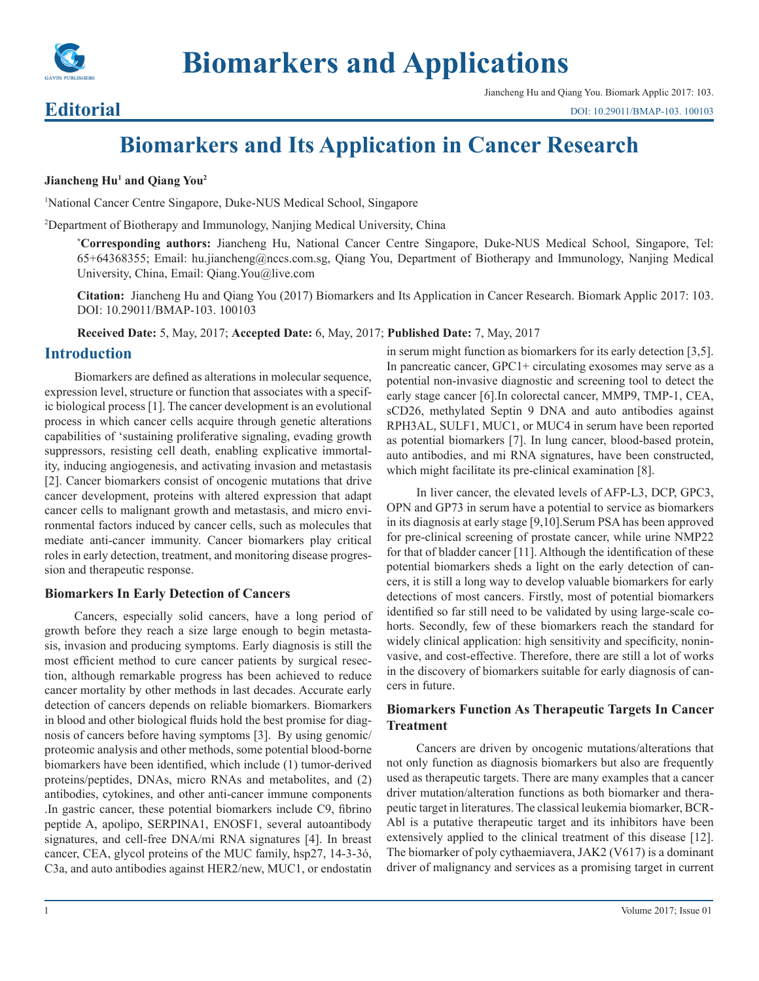

# **Biomarkers and Applications**

### **Editorial**

## **Biomarkers and Its Application in Cancer Research**

#### **Jiancheng Hu1 and Qiang You2**

1 National Cancer Centre Singapore, Duke-NUS Medical School, Singapore

2 Department of Biotherapy and Immunology, Nanjing Medical University, China

**\* Corresponding authors:** Jiancheng Hu, National Cancer Centre Singapore, Duke-NUS Medical School, Singapore, Tel: 65+64368355; Email: hu.jiancheng@nccs.com.sg, Qiang You, Department of Biotherapy and Immunology, Nanjing Medical University, China, Email: Qiang.You@live.com

**Citation:** Jiancheng Hu and Qiang You (2017) Biomarkers and Its Application in Cancer Research. Biomark Applic 2017: 103. DOI: 10.29011/BMAP-103. 100103

**Received Date:** 5, May, 2017; **Accepted Date:** 6, May, 2017; **Published Date:** 7, May, 2017

#### **Introduction**

Biomarkers are defined as alterations in molecular sequence, expression level, structure or function that associates with a specific biological process [1]. The cancer development is an evolutional process in which cancer cells acquire through genetic alterations capabilities of 'sustaining proliferative signaling, evading growth suppressors, resisting cell death, enabling explicative immortality, inducing angiogenesis, and activating invasion and metastasis [2]. Cancer biomarkers consist of oncogenic mutations that drive cancer development, proteins with altered expression that adapt cancer cells to malignant growth and metastasis, and micro environmental factors induced by cancer cells, such as molecules that mediate anti-cancer immunity. Cancer biomarkers play critical roles in early detection, treatment, and monitoring disease progression and therapeutic response.

#### **Biomarkers In Early Detection of Cancers**

Cancers, especially solid cancers, have a long period of growth before they reach a size large enough to begin metastasis, invasion and producing symptoms. Early diagnosis is still the most efficient method to cure cancer patients by surgical resection, although remarkable progress has been achieved to reduce cancer mortality by other methods in last decades. Accurate early detection of cancers depends on reliable biomarkers. Biomarkers in blood and other biological fluids hold the best promise for diagnosis of cancers before having symptoms [3]. By using genomic/ proteomic analysis and other methods, some potential blood-borne biomarkers have been identified, which include (1) tumor-derived proteins/peptides, DNAs, micro RNAs and metabolites, and (2) antibodies, cytokines, and other anti-cancer immune components .In gastric cancer, these potential biomarkers include C9, fibrino peptide A, apolipo, SERPINA1, ENOSF1, several autoantibody signatures, and cell-free DNA/mi RNA signatures [4]. In breast cancer, CEA, glycol proteins of the MUC family, hsp27, 14-3-3ó, C3a, and auto antibodies against HER2/new, MUC1, or endostatin

in serum might function as biomarkers for its early detection [3,5]. In pancreatic cancer, GPC1+ circulating exosomes may serve as a potential non-invasive diagnostic and screening tool to detect the early stage cancer [6].In colorectal cancer, MMP9, TMP-1, CEA, sCD26, methylated Septin 9 DNA and auto antibodies against RPH3AL, SULF1, MUC1, or MUC4 in serum have been reported as potential biomarkers [7]. In lung cancer, blood-based protein, auto antibodies, and mi RNA signatures, have been constructed, which might facilitate its pre-clinical examination [8].

In liver cancer, the elevated levels of AFP-L3, DCP, GPC3, OPN and GP73 in serum have a potential to service as biomarkers in its diagnosis at early stage [9,10].Serum PSA has been approved for pre-clinical screening of prostate cancer, while urine NMP22 for that of bladder cancer [11]. Although the identification of these potential biomarkers sheds a light on the early detection of cancers, it is still a long way to develop valuable biomarkers for early detections of most cancers. Firstly, most of potential biomarkers identified so far still need to be validated by using large-scale cohorts. Secondly, few of these biomarkers reach the standard for widely clinical application: high sensitivity and specificity, noninvasive, and cost-effective. Therefore, there are still a lot of works in the discovery of biomarkers suitable for early diagnosis of cancers in future.

#### **Biomarkers Function As Therapeutic Targets In Cancer Treatment**

Cancers are driven by oncogenic mutations/alterations that not only function as diagnosis biomarkers but also are frequently used as therapeutic targets. There are many examples that a cancer driver mutation/alteration functions as both biomarker and therapeutic target in literatures. The classical leukemia biomarker, BCR-Abl is a putative therapeutic target and its inhibitors have been extensively applied to the clinical treatment of this disease [12]. The biomarker of poly cythaemiavera, JAK2 (V617) is a dominant driver of malignancy and services as a promising target in current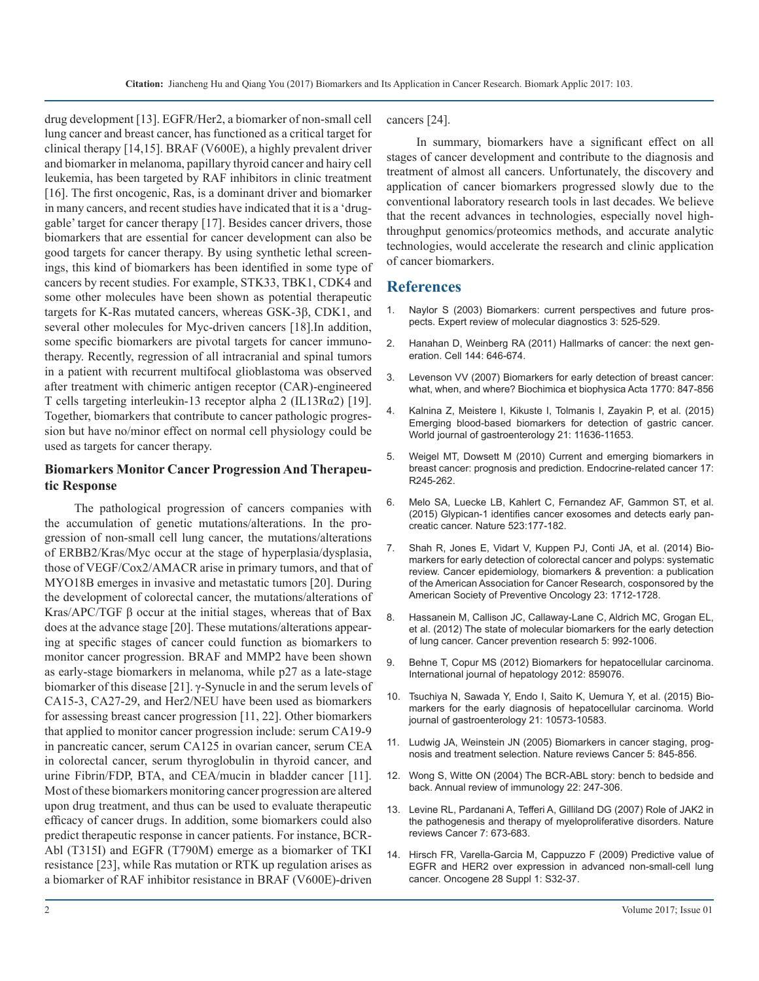drug development [13]. EGFR/Her2, a biomarker of non-small cell lung cancer and breast cancer, has functioned as a critical target for clinical therapy [14,15]. BRAF (V600E), a highly prevalent driver and biomarker in melanoma, papillary thyroid cancer and hairy cell leukemia, has been targeted by RAF inhibitors in clinic treatment [16]. The first oncogenic, Ras, is a dominant driver and biomarker in many cancers, and recent studies have indicated that it is a 'druggable' target for cancer therapy [17]. Besides cancer drivers, those biomarkers that are essential for cancer development can also be good targets for cancer therapy. By using synthetic lethal screenings, this kind of biomarkers has been identified in some type of cancers by recent studies. For example, STK33, TBK1, CDK4 and some other molecules have been shown as potential therapeutic targets for K-Ras mutated cancers, whereas GSK-3β, CDK1, and several other molecules for Myc-driven cancers [18].In addition, some specific biomarkers are pivotal targets for cancer immunotherapy. Recently, regression of all intracranial and spinal tumors in a patient with recurrent multifocal glioblastoma was observed after treatment with chimeric antigen receptor (CAR)-engineered T cells targeting interleukin-13 receptor alpha 2 (IL13Rα2) [19]. Together, biomarkers that contribute to cancer pathologic progression but have no/minor effect on normal cell physiology could be used as targets for cancer therapy.

#### **Biomarkers Monitor Cancer Progression And Therapeutic Response**

The pathological progression of cancers companies with the accumulation of genetic mutations/alterations. In the progression of non-small cell lung cancer, the mutations/alterations of ERBB2/Kras/Myc occur at the stage of hyperplasia/dysplasia, those of VEGF/Cox2/AMACR arise in primary tumors, and that of MYO18B emerges in invasive and metastatic tumors [20]. During the development of colorectal cancer, the mutations/alterations of Kras/APC/TGF  $\beta$  occur at the initial stages, whereas that of Bax does at the advance stage [20]. These mutations/alterations appearing at specific stages of cancer could function as biomarkers to monitor cancer progression. BRAF and MMP2 have been shown as early-stage biomarkers in melanoma, while p27 as a late-stage biomarker of this disease [21]. γ-Synucle in and the serum levels of CA15-3, CA27-29, and Her2/NEU have been used as biomarkers for assessing breast cancer progression [11, 22]. Other biomarkers that applied to monitor cancer progression include: serum CA19-9 in pancreatic cancer, serum CA125 in ovarian cancer, serum CEA in colorectal cancer, serum thyroglobulin in thyroid cancer, and urine Fibrin/FDP, BTA, and CEA/mucin in bladder cancer [11]. Most of these biomarkers monitoring cancer progression are altered upon drug treatment, and thus can be used to evaluate therapeutic efficacy of cancer drugs. In addition, some biomarkers could also predict therapeutic response in cancer patients. For instance, BCR-Abl (T315I) and EGFR (T790M) emerge as a biomarker of TKI resistance [23], while Ras mutation or RTK up regulation arises as a biomarker of RAF inhibitor resistance in BRAF (V600E)-driven

cancers [24].

In summary, biomarkers have a significant effect on all stages of cancer development and contribute to the diagnosis and treatment of almost all cancers. Unfortunately, the discovery and application of cancer biomarkers progressed slowly due to the conventional laboratory research tools in last decades. We believe that the recent advances in technologies, especially novel highthroughput genomics/proteomics methods, and accurate analytic technologies, would accelerate the research and clinic application of cancer biomarkers.

#### **References**

- 1. [Naylor S \(2003\) Biomarkers: current perspectives and future pros](https://www.ncbi.nlm.nih.gov/pubmed/14510173)pects. Expert review of molecular diagnostics 3: 525-529.
- 2. [Hanahan D, Weinberg RA \(2011\) Hallmarks of cancer: the next gen](https://www.ncbi.nlm.nih.gov/pubmed/21376230)eration. Cell 144: 646-674.
- 3. [Levenson VV \(2007\) Biomarkers for early detection of breast cancer:](http://europepmc.org/abstract/med/17368950)  what, when, and where? Biochimica et biophysica Acta 1770: 847-856
- 4. [Kalnina Z, Meistere I, Kikuste I, Tolmanis I, Zayakin P, et al. \(2015\)](https://www.ncbi.nlm.nih.gov/pubmed/26556992)  Emerging blood-based biomarkers for detection of gastric cancer. [World journal of gastroenterology 21: 11636-11653.](https://www.ncbi.nlm.nih.gov/pubmed/26556992)
- 5. [Weigel MT, Dowsett M \(2010\) Current and emerging biomarkers in](https://www.ncbi.nlm.nih.gov/pubmed/20647302) breast cancer: prognosis and prediction. Endocrine-related cancer 17: [R245-262.](https://www.ncbi.nlm.nih.gov/pubmed/20647302)
- 6. [Melo SA, Luecke LB, Kahlert C, Fernandez AF, Gammon ST, et al.](https://www.nature.com/nature/journal/v523/n7559/full/nature14581.html)  (2015) Glypican-1 identifies cancer exosomes and detects early pan[creatic cancer. Nature 523:177-182.](https://www.nature.com/nature/journal/v523/n7559/full/nature14581.html)
- 7. [Shah R, Jones E, Vidart V, Kuppen PJ, Conti JA, et al. \(2014\) Bio](https://www.ncbi.nlm.nih.gov/pubmed/25004920)markers for early detection of colorectal cancer and polyps: systematic [review. Cancer epidemiology, biomarkers & prevention: a publication](https://www.ncbi.nlm.nih.gov/pubmed/25004920)  [of the American Association for Cancer Research, cosponsored by the](https://www.ncbi.nlm.nih.gov/pubmed/25004920)  [American Society of Preventive Oncology 23: 1712-1728.](https://www.ncbi.nlm.nih.gov/pubmed/25004920)
- 8. [Hassanein M, Callison JC, Callaway-Lane C, Aldrich MC, Grogan EL,](https://www.ncbi.nlm.nih.gov/pubmed/22689914)  et al. (2012) The state of molecular biomarkers for the early detection [of lung cancer. Cancer prevention research 5: 992-1006.](https://www.ncbi.nlm.nih.gov/pubmed/22689914)
- 9. [Behne T, Copur MS \(2012\) Biomarkers for hepatocellular carcinoma.](https://www.hindawi.com/journals/ijh/2012/859076/)  International journal of hepatology 2012: 859076.
- 10. [Tsuchiya N, Sawada Y, Endo I, Saito K, Uemura Y, et al. \(2015\) Bio](https://www.ncbi.nlm.nih.gov/pmc/articles/PMC4588079/)markers for the early diagnosis of hepatocellular carcinoma. World [journal of gastroenterology 21: 10573-10583.](https://www.ncbi.nlm.nih.gov/pmc/articles/PMC4588079/)
- 11. [Ludwig JA, Weinstein JN \(2005\) Biomarkers in cancer staging, prog](https://www.ncbi.nlm.nih.gov/pubmed/16239904)nosis and treatment selection. Nature reviews Cancer 5: 845-856.
- 12. [Wong S, Witte ON \(2004\) The BCR-ABL story: bench to bedside and](https://www.ncbi.nlm.nih.gov/pubmed/15032571)  back. Annual review of immunology 22: 247-306.
- 13. [Levine RL, Pardanani A, Tefferi A, Gilliland DG \(2007\) Role of JAK2 in](https://www.ncbi.nlm.nih.gov/pubmed/17721432)  the pathogenesis and therapy of myeloproliferative disorders. Nature [reviews Cancer 7: 673-683.](https://www.ncbi.nlm.nih.gov/pubmed/17721432)
- 14. [Hirsch FR, Varella-Garcia M, Cappuzzo F \(2009\) Predictive value of](https://www.ncbi.nlm.nih.gov/pubmed/19680294) EGFR and HER2 over expression in advanced non-small-cell lung [cancer. Oncogene 28 Suppl 1: S32-37.](https://www.ncbi.nlm.nih.gov/pubmed/19680294)